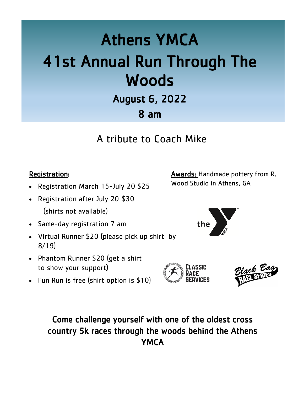# Athens YMCA 41st Annual Run Through The **Woods**

August 6, 2022 8 am

A tribute to Coach Mike

#### Registration:

- Registration March 15-July 20 \$25
- Registration after July 20 \$30 (shirts not available)
- Same-day registration 7 am
- Virtual Runner \$20 (please pick up shirt by 8/19)
- Phantom Runner \$20 (get a shirt to show your support)
- Fun Run is free (shirt option is \$10)

**Awards:** Handmade pottery from R. Wood Studio in Athens, GA







## Come challenge yourself with one of the oldest cross country 5k races through the woods behind the Athens **YMCA**